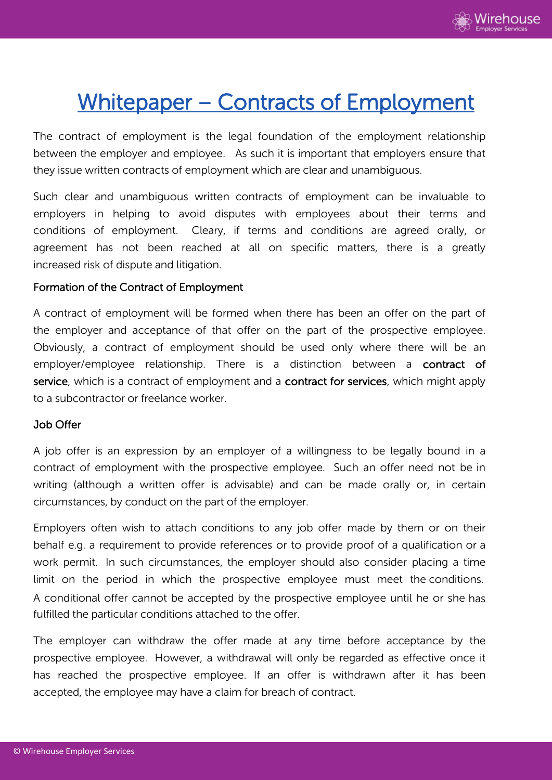

# Whitepaper – Contracts of Employment

The contract of employment is the legal foundation of the employment relationship between the employer and employee. As such it is important that employers ensure that they issue written contracts of employment which are clear and unambiguous.

Such clear and unambiguous written contracts of employment can be invaluable to employers in helping to avoid disputes with employees about their terms and conditions of employment. Cleary, if terms and conditions are agreed orally, or agreement has not been reached at all on specific matters, there is a greatly increased risk of dispute and litigation.

## Formation of the Contract of Employment

A contract of employment will be formed when there has been an offer on the part of the employer and acceptance of that offer on the part of the prospective employee. Obviously, a contract of employment should be used only where there will be an employer/employee relationship. There is a distinction between a contract of service, which is a contract of employment and a contract for services, which might apply to a subcontractor or freelance worker.

#### Job Offer

A job offer is an expression by an employer of a willingness to be legally bound in a contract of employment with the prospective employee. Such an offer need not be in writing (although a written offer is advisable) and can be made orally or, in certain circumstances, by conduct on the part of the employer.

Employers often wish to attach conditions to any job offer made by them or on their behalf e.g. a requirement to provide references or to provide proof of a qualification or a work permit. In such circumstances, the employer should also consider placing a time limit on the period in which the prospective employee must meet the conditions. A conditional offer cannot be accepted by the prospective employee until he or she has fulfilled the particular conditions attached to the offer.

The employer can withdraw the offer made at any time before acceptance by the prospective employee. However, a withdrawal will only be regarded as effective once it has reached the prospective employee. If an offer is withdrawn after it has been accepted, the employee may have a claim for breach of contract.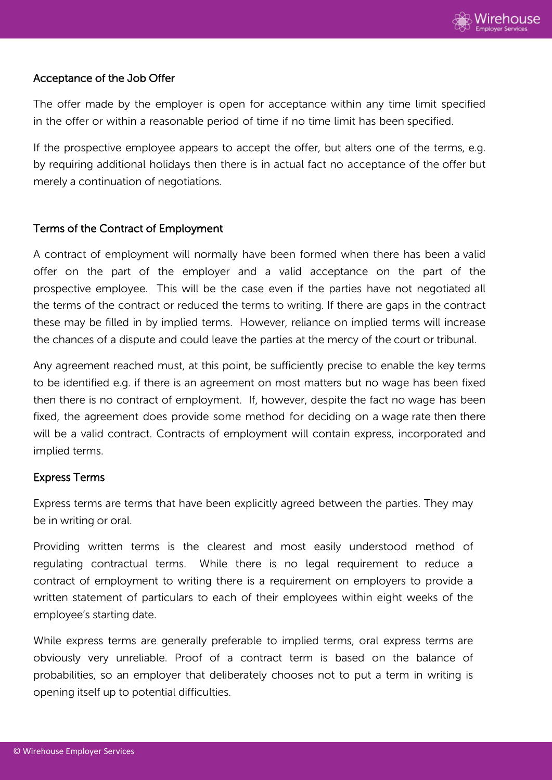

# Acceptance of the Job Offer

The offer made by the employer is open for acceptance within any time limit specified in the offer or within a reasonable period of time if no time limit has been specified.

If the prospective employee appears to accept the offer, but alters one of the terms, e.g. by requiring additional holidays then there is in actual fact no acceptance of the offer but merely a continuation of negotiations.

# Terms of the Contract of Employment

A contract of employment will normally have been formed when there has been a valid offer on the part of the employer and a valid acceptance on the part of the prospective employee. This will be the case even if the parties have not negotiated all the terms of the contract or reduced the terms to writing. If there are gaps in the contract these may be filled in by implied terms. However, reliance on implied terms will increase the chances of a dispute and could leave the parties at the mercy of the court or tribunal.

Any agreement reached must, at this point, be sufficiently precise to enable the key terms to be identified e.g. if there is an agreement on most matters but no wage has been fixed then there is no contract of employment. If, however, despite the fact no wage has been fixed, the agreement does provide some method for deciding on a wage rate then there will be a valid contract. Contracts of employment will contain express, incorporated and implied terms.

# Express Terms

Express terms are terms that have been explicitly agreed between the parties. They may be in writing or oral.

Providing written terms is the clearest and most easily understood method of regulating contractual terms. While there is no legal requirement to reduce a contract of employment to writing there is a requirement on employers to provide a written statement of particulars to each of their employees within eight weeks of the employee's starting date.

While express terms are generally preferable to implied terms, oral express terms are obviously very unreliable. Proof of a contract term is based on the balance of probabilities, so an employer that deliberately chooses not to put a term in writing is opening itself up to potential difficulties.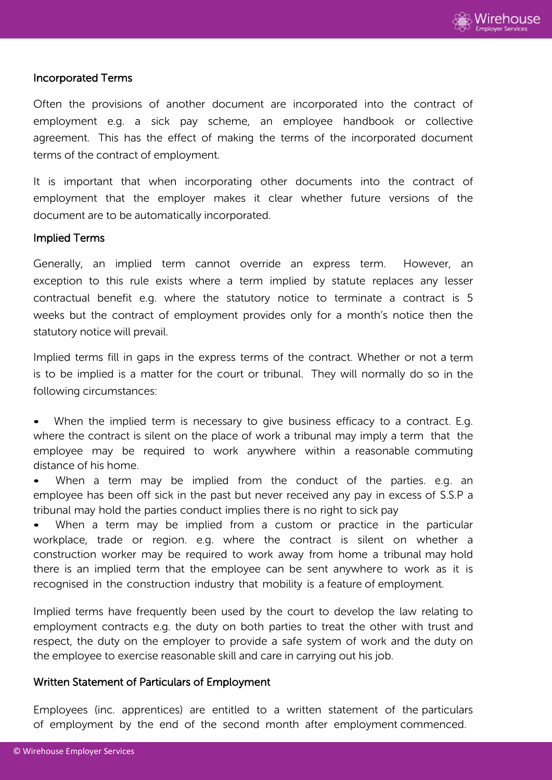

#### Incorporated Terms

Often the provisions of another document are incorporated into the contract of employment e.g. a sick pay scheme, an employee handbook or collective agreement. This has the effect of making the terms of the incorporated document terms of the contract of employment.

It is important that when incorporating other documents into the contract of employment that the employer makes it clear whether future versions of the document are to be automatically incorporated.

#### Implied Terms

Generally, an implied term cannot override an express term. However, an exception to this rule exists where a term implied by statute replaces any lesser contractual benefit e.g. where the statutory notice to terminate a contract is 5 weeks but the contract of employment provides only for a month's notice then the statutory notice will prevail.

Implied terms fill in gaps in the express terms of the contract. Whether or not a term is to be implied is a matter for the court or tribunal. They will normally do so in the following circumstances:

When the implied term is necessary to give business efficacy to a contract. E.g. where the contract is silent on the place of work a tribunal may imply a term that the employee may be required to work anywhere within a reasonable commuting distance of his home.

When a term may be implied from the conduct of the parties. e.g. an employee has been off sick in the past but never received any pay in excess of S.S.P a tribunal may hold the parties conduct implies there is no right to sick pay

• When a term may be implied from a custom or practice in the particular workplace, trade or region. e.g. where the contract is silent on whether a construction worker may be required to work away from home a tribunal may hold there is an implied term that the employee can be sent anywhere to work as it is recognised in the construction industry that mobility is a feature of employment.

Implied terms have frequently been used by the court to develop the law relating to employment contracts e.g. the duty on both parties to treat the other with trust and respect, the duty on the employer to provide a safe system of work and the duty on the employee to exercise reasonable skill and care in carrying out his job.

## Written Statement of Particulars of Employment

Employees (inc. apprentices) are entitled to a written statement of the particulars of employment by the end of the second month after employment commenced.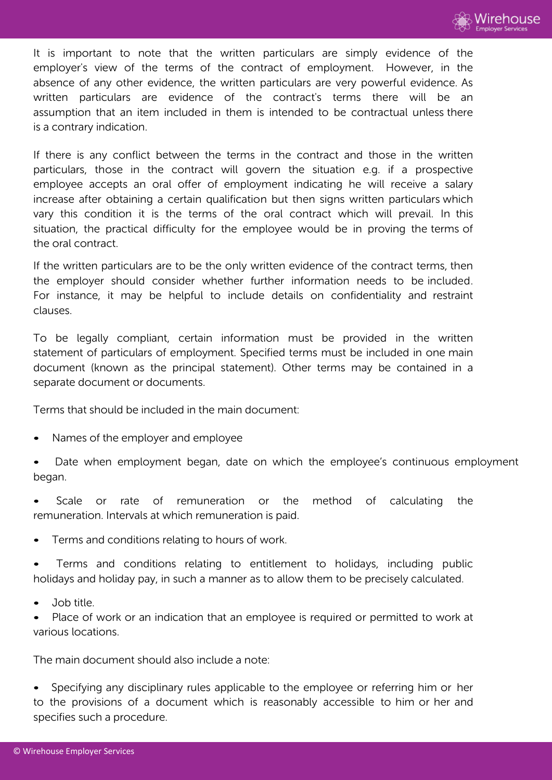

It is important to note that the written particulars are simply evidence of the employer's view of the terms of the contract of employment. However, in the absence of any other evidence, the written particulars are very powerful evidence. As written particulars are evidence of the contract's terms there will be an assumption that an item included in them is intended to be contractual unless there is a contrary indication.

If there is any conflict between the terms in the contract and those in the written particulars, those in the contract will govern the situation e.g. if a prospective employee accepts an oral offer of employment indicating he will receive a salary increase after obtaining a certain qualification but then signs written particulars which vary this condition it is the terms of the oral contract which will prevail. In this situation, the practical difficulty for the employee would be in proving the terms of the oral contract.

If the written particulars are to be the only written evidence of the contract terms, then the employer should consider whether further information needs to be included. For instance, it may be helpful to include details on confidentiality and restraint clauses.

To be legally compliant, certain information must be provided in the written statement of particulars of employment. Specified terms must be included in one main document (known as the principal statement). Other terms may be contained in a separate document or documents.

Terms that should be included in the main document:

- Names of the employer and employee
- Date when employment began, date on which the employee's continuous employment began.
- Scale or rate of remuneration or the method of calculating the remuneration. Intervals at which remuneration is paid.
- Terms and conditions relating to hours of work.
- Terms and conditions relating to entitlement to holidays, including public holidays and holiday pay, in such a manner as to allow them to be precisely calculated.
- Job title.
- Place of work or an indication that an employee is required or permitted to work at various locations.

The main document should also include a note:

• Specifying any disciplinary rules applicable to the employee or referring him or her to the provisions of a document which is reasonably accessible to him or her and specifies such a procedure.